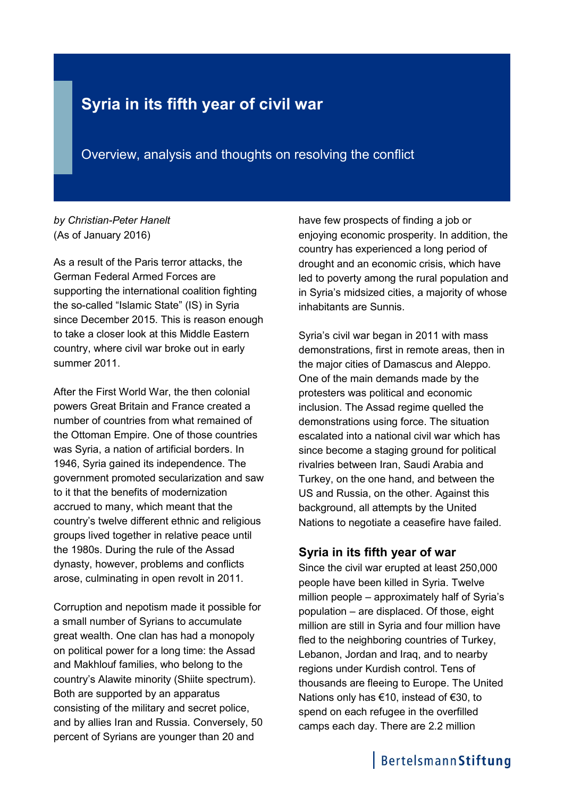# **Syria in its fifth year of civil war**

Overview, analysis and thoughts on resolving the conflict

#### *by Christian-Peter Hanelt* (As of January 2016)

As a result of the Paris terror attacks, the German Federal Armed Forces are supporting the international coalition fighting the so-called "Islamic State" (IS) in Syria since December 2015. This is reason enough to take a closer look at this Middle Eastern country, where civil war broke out in early summer 2011.

After the First World War, the then colonial powers Great Britain and France created a number of countries from what remained of the Ottoman Empire. One of those countries was Syria, a nation of artificial borders. In 1946, Syria gained its independence. The government promoted secularization and saw to it that the benefits of modernization accrued to many, which meant that the country's twelve different ethnic and religious groups lived together in relative peace until the 1980s. During the rule of the Assad dynasty, however, problems and conflicts arose, culminating in open revolt in 2011.

Corruption and nepotism made it possible for a small number of Syrians to accumulate great wealth. One clan has had a monopoly on political power for a long time: the Assad and Makhlouf families, who belong to the country's Alawite minority (Shiite spectrum). Both are supported by an apparatus consisting of the military and secret police, and by allies Iran and Russia. Conversely, 50 percent of Syrians are younger than 20 and

have few prospects of finding a job or enjoying economic prosperity. In addition, the country has experienced a long period of drought and an economic crisis, which have led to poverty among the rural population and in Syria's midsized cities, a majority of whose inhabitants are Sunnis.

Syria's civil war began in 2011 with mass demonstrations, first in remote areas, then in the major cities of Damascus and Aleppo. One of the main demands made by the protesters was political and economic inclusion. The Assad regime quelled the demonstrations using force. The situation escalated into a national civil war which has since become a staging ground for political rivalries between Iran, Saudi Arabia and Turkey, on the one hand, and between the US and Russia, on the other. Against this background, all attempts by the United Nations to negotiate a ceasefire have failed.

### **Syria in its fifth year of war**

Since the civil war erupted at least 250,000 people have been killed in Syria. Twelve million people – approximately half of Syria's population – are displaced. Of those, eight million are still in Syria and four million have fled to the neighboring countries of Turkey, Lebanon, Jordan and Iraq, and to nearby regions under Kurdish control. Tens of thousands are fleeing to Europe. The United Nations only has €10, instead of €30, to spend on each refugee in the overfilled camps each day. There are 2.2 million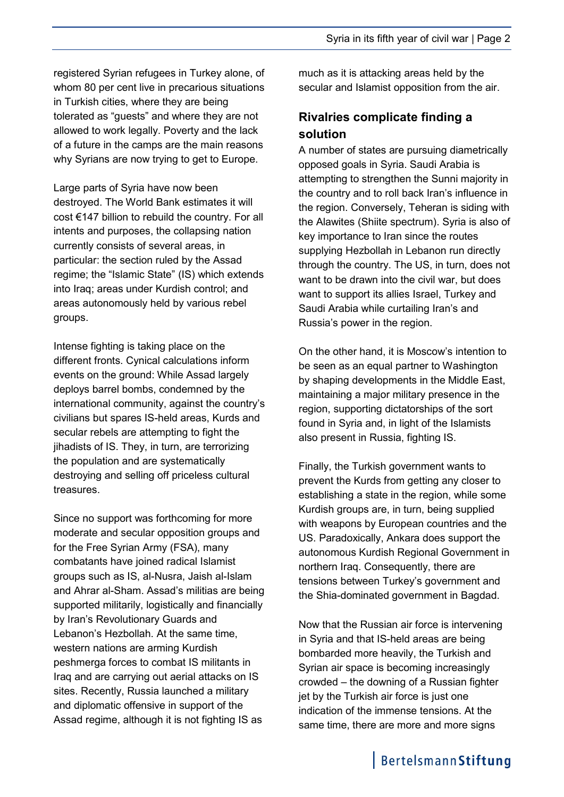registered Syrian refugees in Turkey alone, of whom 80 per cent live in precarious situations in Turkish cities, where they are being tolerated as "guests" and where they are not allowed to work legally. Poverty and the lack of a future in the camps are the main reasons why Syrians are now trying to get to Europe.

Large parts of Syria have now been destroyed. The World Bank estimates it will cost €147 billion to rebuild the country. For all intents and purposes, the collapsing nation currently consists of several areas, in particular: the section ruled by the Assad regime; the "Islamic State" (IS) which extends into Iraq; areas under Kurdish control; and areas autonomously held by various rebel groups.

Intense fighting is taking place on the different fronts. Cynical calculations inform events on the ground: While Assad largely deploys barrel bombs, condemned by the international community, against the country's civilians but spares IS-held areas, Kurds and secular rebels are attempting to fight the jihadists of IS. They, in turn, are terrorizing the population and are systematically destroying and selling off priceless cultural treasures.

Since no support was forthcoming for more moderate and secular opposition groups and for the Free Syrian Army (FSA), many combatants have joined radical Islamist groups such as IS, al-Nusra, Jaish al-Islam and Ahrar al-Sham. Assad's militias are being supported militarily, logistically and financially by Iran's Revolutionary Guards and Lebanon's Hezbollah. At the same time, western nations are arming Kurdish peshmerga forces to combat IS militants in Iraq and are carrying out aerial attacks on IS sites. Recently, Russia launched a military and diplomatic offensive in support of the Assad regime, although it is not fighting IS as

much as it is attacking areas held by the secular and Islamist opposition from the air.

## **Rivalries complicate finding a solution**

A number of states are pursuing diametrically opposed goals in Syria. Saudi Arabia is attempting to strengthen the Sunni majority in the country and to roll back Iran's influence in the region. Conversely, Teheran is siding with the Alawites (Shiite spectrum). Syria is also of key importance to Iran since the routes supplying Hezbollah in Lebanon run directly through the country. The US, in turn, does not want to be drawn into the civil war, but does want to support its allies Israel, Turkey and Saudi Arabia while curtailing Iran's and Russia's power in the region.

On the other hand, it is Moscow's intention to be seen as an equal partner to Washington by shaping developments in the Middle East, maintaining a major military presence in the region, supporting dictatorships of the sort found in Syria and, in light of the Islamists also present in Russia, fighting IS.

Finally, the Turkish government wants to prevent the Kurds from getting any closer to establishing a state in the region, while some Kurdish groups are, in turn, being supplied with weapons by European countries and the US. Paradoxically, Ankara does support the autonomous Kurdish Regional Government in northern Iraq. Consequently, there are tensions between Turkey's government and the Shia-dominated government in Bagdad.

Now that the Russian air force is intervening in Syria and that IS-held areas are being bombarded more heavily, the Turkish and Syrian air space is becoming increasingly crowded – the downing of a Russian fighter jet by the Turkish air force is just one indication of the immense tensions. At the same time, there are more and more signs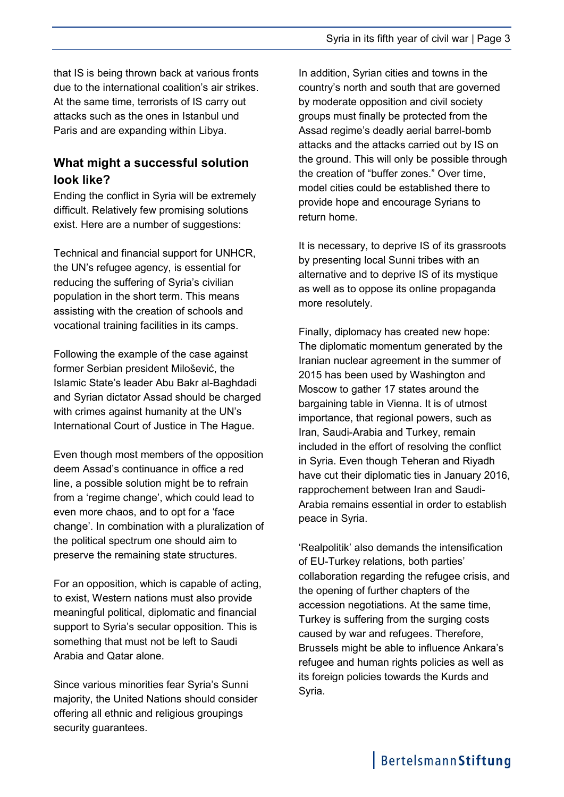that IS is being thrown back at various fronts due to the international coalition's air strikes. At the same time, terrorists of IS carry out attacks such as the ones in Istanbul und Paris and are expanding within Libya.

### **What might a successful solution look like?**

Ending the conflict in Syria will be extremely difficult. Relatively few promising solutions exist. Here are a number of suggestions:

Technical and financial support for UNHCR, the UN's refugee agency, is essential for reducing the suffering of Syria's civilian population in the short term. This means assisting with the creation of schools and vocational training facilities in its camps.

Following the example of the case against former Serbian president Milošević, the Islamic State's leader Abu Bakr al-Baghdadi and Syrian dictator Assad should be charged with crimes against humanity at the UN's International Court of Justice in The Hague.

Even though most members of the opposition deem Assad's continuance in office a red line, a possible solution might be to refrain from a 'regime change', which could lead to even more chaos, and to opt for a 'face change'. In combination with a pluralization of the political spectrum one should aim to preserve the remaining state structures.

For an opposition, which is capable of acting, to exist, Western nations must also provide meaningful political, diplomatic and financial support to Syria's secular opposition. This is something that must not be left to Saudi Arabia and Qatar alone.

Since various minorities fear Syria's Sunni majority, the United Nations should consider offering all ethnic and religious groupings security guarantees.

In addition, Syrian cities and towns in the country's north and south that are governed by moderate opposition and civil society groups must finally be protected from the Assad regime's deadly aerial barrel-bomb attacks and the attacks carried out by IS on the ground. This will only be possible through the creation of "buffer zones." Over time, model cities could be established there to provide hope and encourage Syrians to return home.

It is necessary, to deprive IS of its grassroots by presenting local Sunni tribes with an alternative and to deprive IS of its mystique as well as to oppose its online propaganda more resolutely.

Finally, diplomacy has created new hope: The diplomatic momentum generated by the Iranian nuclear agreement in the summer of 2015 has been used by Washington and Moscow to gather 17 states around the bargaining table in Vienna. It is of utmost importance, that regional powers, such as Iran, Saudi-Arabia and Turkey, remain included in the effort of resolving the conflict in Syria. Even though Teheran and Riyadh have cut their diplomatic ties in January 2016, rapprochement between Iran and Saudi-Arabia remains essential in order to establish peace in Syria.

'Realpolitik' also demands the intensification of EU-Turkey relations, both parties' collaboration regarding the refugee crisis, and the opening of further chapters of the accession negotiations. At the same time, Turkey is suffering from the surging costs caused by war and refugees. Therefore, Brussels might be able to influence Ankara's refugee and human rights policies as well as its foreign policies towards the Kurds and Syria.